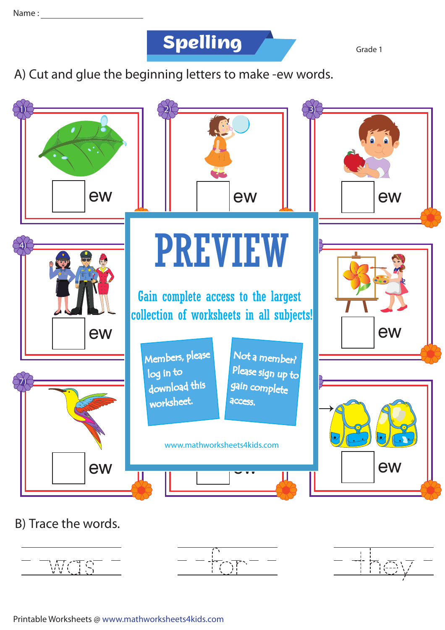## **Spelling**

Grade 1

A) Cut and glue the beginning letters to make -ew words.



## B) Trace the words.

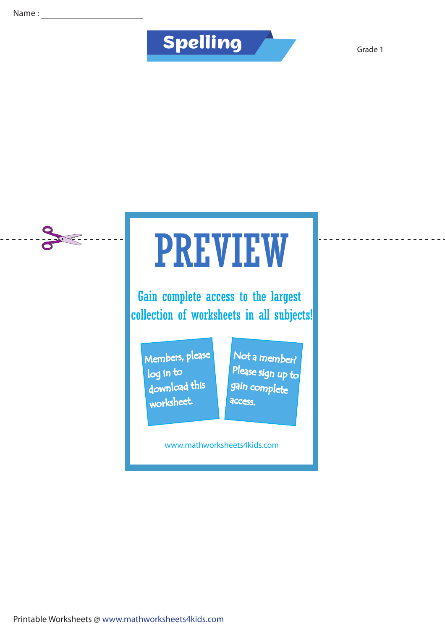## **Spelling** Grade 1